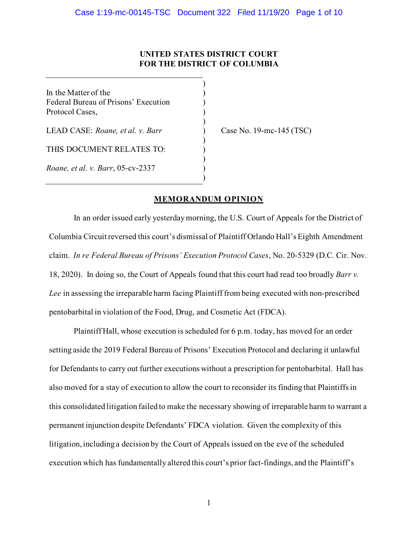## **UNITED STATES DISTRICT COURT FOR THE DISTRICT OF COLUMBIA**

)

)

)

)

)

In the Matter of the  $($ Federal Bureau of Prisons' Execution ) Protocol Cases, )

LEAD CASE: *Roane, et al. v. Barr* ) Case No. 19-mc-145 (TSC)

THIS DOCUMENT RELATES TO:

*Roane, et al. v. Barr*, 05-cv-2337 )

## **MEMORANDUM OPINION**

In an order issued early yesterdaymorning, the U.S. Court of Appeals for the District of Columbia Circuit reversed this court's dismissal of Plaintiff Orlando Hall's Eighth Amendment claim. *In re Federal Bureau of Prisons' Execution Protocol Cases*, No. 20-5329 (D.C. Cir. Nov. 18, 2020). In doing so, the Court of Appeals found that this court had read too broadly *Barr v. Lee* in assessing the irreparable harm facing Plaintiff from being executed with non-prescribed pentobarbital in violation of the Food, Drug, and Cosmetic Act (FDCA).

Plaintiff Hall, whose execution is scheduled for 6 p.m. today, has moved for an order setting aside the 2019 Federal Bureau of Prisons' Execution Protocol and declaring it unlawful for Defendants to carry out further executions without a prescription for pentobarbital. Hall has also moved for a stay of execution to allow the court to reconsider its finding that Plaintiffs in this consolidated litigation failed to make the necessary showing of irreparable harm to warrant a permanent injunction despite Defendants' FDCA violation. Given the complexity of this litigation, including a decision by the Court of Appeals issued on the eve of the scheduled execution which has fundamentally altered this court's prior fact-findings, and the Plaintiff's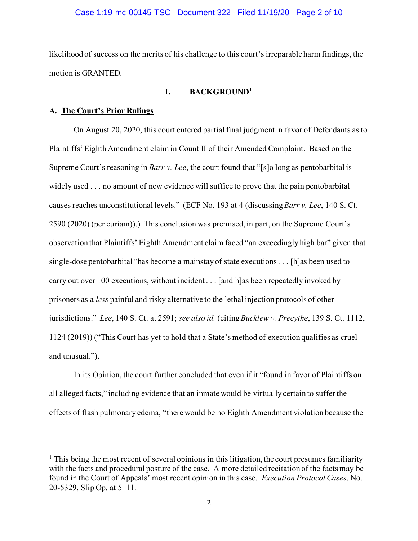likelihood of success on the merits of his challenge to this court's irreparable harm findings, the motion is GRANTED.

# **I. BACKGROUND[1](#page-1-0)**

#### **A. The Court's Prior Rulings**

On August 20, 2020, this court entered partial final judgment in favor of Defendants as to Plaintiffs' Eighth Amendment claim in Count II of their Amended Complaint. Based on the Supreme Court's reasoning in *Barr v. Lee*, the court found that "[s]o long as pentobarbital is widely used . . . no amount of new evidence will suffice to prove that the pain pentobarbital causes reaches unconstitutional levels." (ECF No. 193 at 4 (discussing *Barr v. Lee*, 140 S. Ct. 2590 (2020) (per curiam)).) This conclusion was premised, in part, on the Supreme Court's observation that Plaintiffs' Eighth Amendment claim faced "an exceedingly high bar" given that single-dose pentobarbital "has become a mainstay of state executions . . . [h]as been used to carry out over 100 executions, without incident . . . [and h]as been repeatedly invoked by prisoners as a *less* painful and risky alternative to the lethal injection protocols of other jurisdictions." *Lee*, 140 S. Ct. at 2591; *see also id.* (citing *Bucklew v. Precythe*, 139 S. Ct. 1112, 1124 (2019)) ("This Court has yet to hold that a State's method of execution qualifies as cruel and unusual.").

In its Opinion, the court further concluded that even if it "found in favor of Plaintiffs on all alleged facts," including evidence that an inmate would be virtually certain to suffer the effects of flash pulmonary edema, "there would be no Eighth Amendment violation because the

<span id="page-1-0"></span> $<sup>1</sup>$  This being the most recent of several opinions in this litigation, the court presumes familiarity</sup> with the facts and procedural posture of the case. A more detailed recitation of the facts may be found in the Court of Appeals' most recent opinion in this case. *Execution Protocol Cases*, No. 20-5329, Slip Op. at 5–11.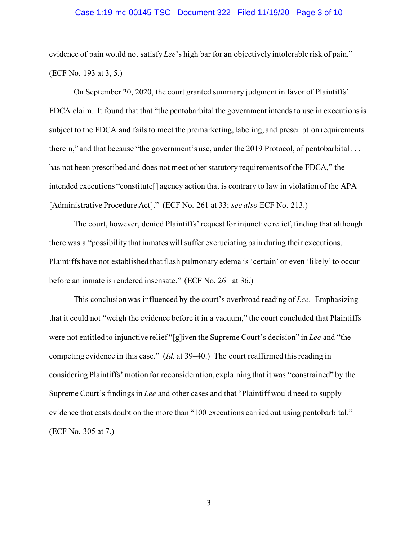#### Case 1:19-mc-00145-TSC Document 322 Filed 11/19/20 Page 3 of 10

evidence of pain would not satisfy *Lee*'s high bar for an objectively intolerable risk of pain." (ECF No. 193 at 3, 5.)

On September 20, 2020, the court granted summary judgment in favor of Plaintiffs' FDCA claim. It found that that "the pentobarbital the government intends to use in executions is subject to the FDCA and fails to meet the premarketing, labeling, and prescription requirements therein," and that because "the government's use, under the 2019 Protocol, of pentobarbital . . . has not been prescribed and does not meet other statutory requirements of the FDCA," the intended executions "constitute[] agency action that is contrary to law in violation of the APA [Administrative Procedure Act]." (ECF No. 261 at 33; *see also* ECF No. 213.)

The court, however, denied Plaintiffs' request for injunctive relief, finding that although there was a "possibility that inmates will suffer excruciating pain during their executions, Plaintiffs have not established that flash pulmonary edema is 'certain' or even 'likely' to occur before an inmate is rendered insensate." (ECF No. 261 at 36.)

This conclusion was influenced by the court's overbroad reading of *Lee*. Emphasizing that it could not "weigh the evidence before it in a vacuum," the court concluded that Plaintiffs were not entitled to injunctive relief "[g]iven the Supreme Court's decision" in *Lee* and "the competing evidence in this case." (*Id.* at 39–40.) The court reaffirmed this reading in considering Plaintiffs' motion for reconsideration, explaining that it was "constrained" by the Supreme Court's findings in *Lee* and other cases and that "Plaintiff would need to supply evidence that casts doubt on the more than "100 executions carried out using pentobarbital." (ECF No. 305 at 7.)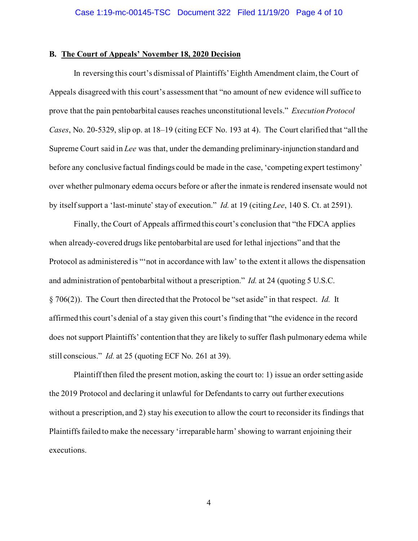#### **B. The Court of Appeals' November 18, 2020 Decision**

In reversing this court's dismissal of Plaintiffs'Eighth Amendment claim, the Court of Appeals disagreed with this court's assessment that "no amount of new evidence will suffice to prove that the pain pentobarbital causes reaches unconstitutional levels." *Execution Protocol Cases*, No. 20-5329, slip op. at 18–19 (citing ECF No. 193 at 4). The Court clarified that "all the Supreme Court said in *Lee* was that, under the demanding preliminary-injunction standard and before any conclusive factual findings could be made in the case, 'competing expert testimony' over whether pulmonary edema occurs before or after the inmate is rendered insensate would not by itself support a 'last-minute' stay of execution." *Id.* at 19 (citing *Lee*, 140 S. Ct. at 2591).

Finally, the Court of Appeals affirmed this court's conclusion that "the FDCA applies when already-covered drugs like pentobarbital are used for lethal injections" and that the Protocol as administered is "'not in accordance with law' to the extent it allows the dispensation and administration of pentobarbital without a prescription." *Id.* at 24 (quoting 5 U.S.C. § 706(2)). The Court then directed that the Protocol be "set aside" in that respect. *Id.* It affirmed this court's denial of a stay given this court's finding that "the evidence in the record does not support Plaintiffs' contention that they are likely to suffer flash pulmonary edema while still conscious." *Id.* at 25 (quoting ECF No. 261 at 39).

Plaintiff then filed the present motion, asking the court to: 1) issue an order setting aside the 2019 Protocol and declaring it unlawful for Defendants to carry out further executions without a prescription, and 2) stay his execution to allow the court to reconsider its findings that Plaintiffs failed to make the necessary 'irreparable harm' showing to warrant enjoining their executions.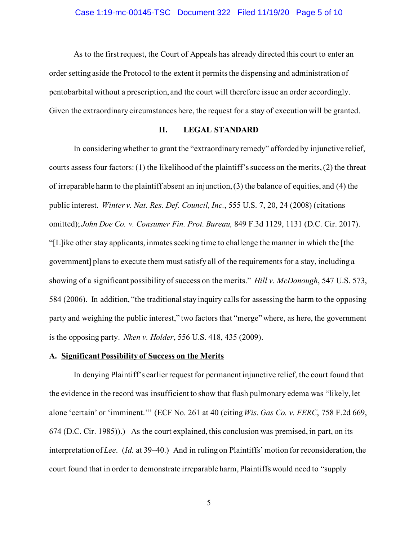As to the first request, the Court of Appeals has already directed this court to enter an order setting aside the Protocol to the extent it permits the dispensing and administration of pentobarbital without a prescription, and the court will therefore issue an order accordingly. Given the extraordinary circumstances here, the request for a stay of execution will be granted.

## **II. LEGAL STANDARD**

In considering whether to grant the "extraordinary remedy" afforded by injunctive relief, courts assess four factors: (1) the likelihood of the plaintiff's success on the merits, (2) the threat of irreparable harm to the plaintiff absent an injunction, (3) the balance of equities, and (4) the public interest. *Winter v. Nat. Res. Def. Council, Inc.*, 555 U.S. 7, 20, 24 (2008) (citations omitted); *John Doe Co. v. Consumer Fin. Prot. Bureau,* 849 F.3d 1129, 1131 (D.C. Cir. 2017). "[L]ike other stay applicants, inmates seeking time to challenge the manner in which the [the government] plans to execute them must satisfy all of the requirements for a stay, including a showing of a significant possibility of success on the merits." *Hill v. McDonough*, 547 U.S. 573, 584 (2006). In addition, "the traditional stay inquiry calls for assessing the harm to the opposing party and weighing the public interest," two factors that "merge" where, as here, the government is the opposing party. *Nken v. Holder*, 556 U.S. 418, 435 (2009).

### **A. Significant Possibility of Success on the Merits**

In denying Plaintiff's earlier request for permanent injunctive relief, the court found that the evidence in the record was insufficient to show that flash pulmonary edema was "likely, let alone 'certain' or 'imminent.'" (ECF No. 261 at 40 (citing *Wis. Gas Co. v. FERC*, 758 F.2d 669, 674 (D.C. Cir. 1985)).) As the court explained, this conclusion was premised, in part, on its interpretation of *Lee*. (*Id.* at 39–40.) And in ruling on Plaintiffs' motion for reconsideration, the court found that in order to demonstrate irreparable harm, Plaintiffs would need to "supply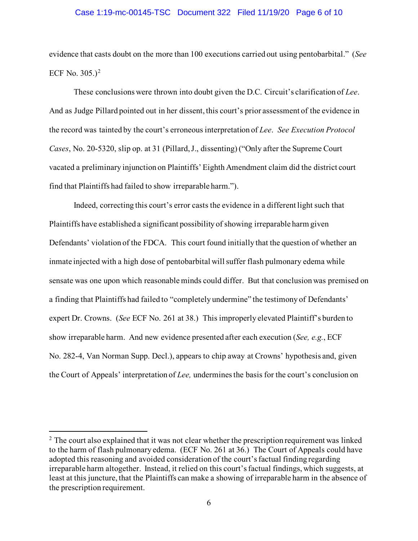#### Case 1:19-mc-00145-TSC Document 322 Filed 11/19/20 Page 6 of 10

evidence that casts doubt on the more than 100 executions carried out using pentobarbital." (*See*  ECF No. 305.)<sup>[2](#page-5-0)</sup>

These conclusions were thrown into doubt given the D.C. Circuit's clarification of *Lee*. And as Judge Pillard pointed out in her dissent, this court's prior assessment of the evidence in the record was tainted by the court's erroneous interpretation of *Lee*. *See Execution Protocol Cases*, No. 20-5320, slip op. at 31 (Pillard, J., dissenting) ("Only after the Supreme Court vacated a preliminary injunction on Plaintiffs' Eighth Amendment claim did the district court find that Plaintiffs had failed to show irreparable harm.").

Indeed, correcting this court's error casts the evidence in a different light such that Plaintiffs have established a significant possibility of showing irreparable harm given Defendants' violation of the FDCA. This court found initially that the question of whether an inmate injected with a high dose of pentobarbital will suffer flash pulmonary edema while sensate was one upon which reasonable minds could differ. But that conclusion was premised on a finding that Plaintiffs had failed to "completely undermine" the testimony of Defendants' expert Dr. Crowns. (*See* ECF No. 261 at 38.) This improperly elevated Plaintiff's burden to show irreparable harm. And new evidence presented after each execution (*See, e.g.*, ECF No. 282-4, Van Norman Supp. Decl.), appears to chip away at Crowns' hypothesis and, given the Court of Appeals' interpretation of *Lee,* undermines the basis for the court's conclusion on

<span id="page-5-0"></span> $2$  The court also explained that it was not clear whether the prescription requirement was linked to the harm of flash pulmonary edema. (ECF No. 261 at 36.) The Court of Appeals could have adopted this reasoning and avoided consideration of the court's factual finding regarding irreparable harm altogether. Instead, it relied on this court's factual findings, which suggests, at least at this juncture, that the Plaintiffs can make a showing of irreparable harm in the absence of the prescription requirement.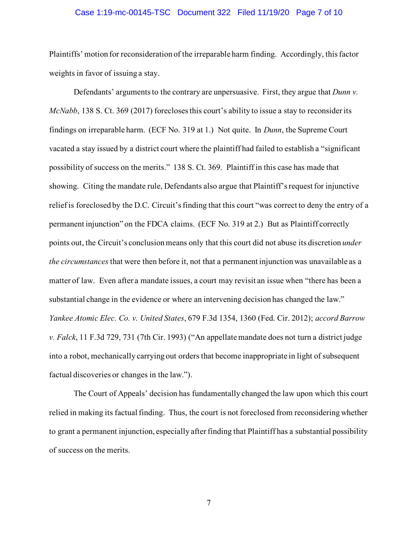#### Case 1:19-mc-00145-TSC Document 322 Filed 11/19/20 Page 7 of 10

Plaintiffs' motion for reconsideration of the irreparable harm finding. Accordingly, this factor weights in favor of issuing a stay.

Defendants' arguments to the contrary are unpersuasive. First, they argue that *Dunn v. McNabb*, 138 S. Ct. 369 (2017) forecloses this court's ability to issue a stay to reconsider its findings on irreparable harm. (ECF No. 319 at 1.) Not quite. In *Dunn*, the Supreme Court vacated a stay issued by a district court where the plaintiff had failed to establish a "significant possibility of success on the merits." 138 S. Ct. 369. Plaintiff in this case has made that showing. Citing the mandate rule, Defendants also argue that Plaintiff's request for injunctive relief is foreclosed by the D.C. Circuit's finding that this court "was correct to deny the entry of a permanent injunction" on the FDCA claims. (ECF No. 319 at 2.) But as Plaintiff correctly points out, the Circuit's conclusion means only that this court did not abuse its discretion *under the circumstances* that were then before it, not that a permanent injunction was unavailable as a matter of law. Even after a mandate issues, a court may revisit an issue when "there has been a substantial change in the evidence or where an intervening decision has changed the law." *Yankee Atomic Elec. Co. v. United States*, 679 F.3d 1354, 1360 (Fed. Cir. 2012); *accord Barrow v. Falck*, 11 F.3d 729, 731 (7th Cir. 1993) ("An appellate mandate does not turn a district judge into a robot, mechanically carrying out orders that become inappropriate in light of subsequent factual discoveries or changes in the law.").

The Court of Appeals' decision has fundamentally changed the law upon which this court relied in making its factual finding. Thus, the court is not foreclosed from reconsidering whether to grant a permanent injunction, especially after finding that Plaintiff has a substantial possibility of success on the merits.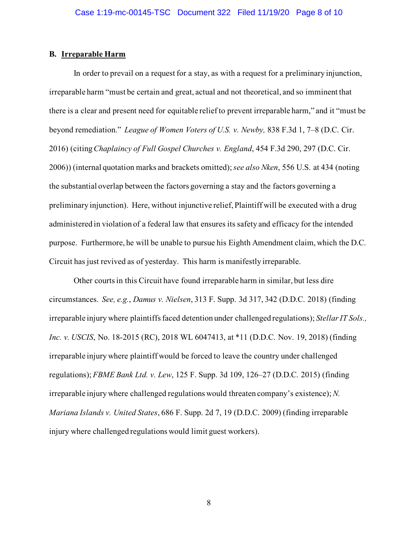### **B. Irreparable Harm**

In order to prevail on a request for a stay, as with a request for a preliminary injunction, irreparable harm "must be certain and great, actual and not theoretical, and so imminent that there is a clear and present need for equitable relief to prevent irreparable harm," and it "must be beyond remediation." *League of Women Voters of U.S. v. Newby,* 838 F.3d 1, 7–8 (D.C. Cir. 2016) (citing *Chaplaincy of Full Gospel Churches v. England*, 454 F.3d 290, 297 (D.C. Cir. 2006)) (internal quotation marks and brackets omitted); *see also Nken*, 556 U.S. at 434 (noting the substantial overlap between the factors governing a stay and the factors governing a preliminary injunction). Here, without injunctive relief, Plaintiff will be executed with a drug administered in violation of a federal law that ensures its safety and efficacy for the intended purpose. Furthermore, he will be unable to pursue his Eighth Amendment claim, which the D.C. Circuit has just revived as of yesterday. This harm is manifestly irreparable.

Other courts in this Circuit have found irreparable harm in similar, but less dire circumstances. *See, e.g.*, *Damus v. Nielsen*, 313 F. Supp. 3d 317, 342 (D.D.C. 2018) (finding irreparable injury where plaintiffs faced detention under challenged regulations); *Stellar IT Sols., Inc. v. USCIS*, No. 18-2015 (RC), 2018 WL 6047413, at \*11 (D.D.C. Nov. 19, 2018) (finding irreparable injury where plaintiff would be forced to leave the country under challenged regulations); *FBME Bank Ltd. v. Lew*, 125 F. Supp. 3d 109, 126–27 (D.D.C. 2015) (finding irreparable injury where challenged regulations would threaten company's existence); *N. Mariana Islands v. United States*, 686 F. Supp. 2d 7, 19 (D.D.C. 2009) (finding irreparable injury where challenged regulations would limit guest workers).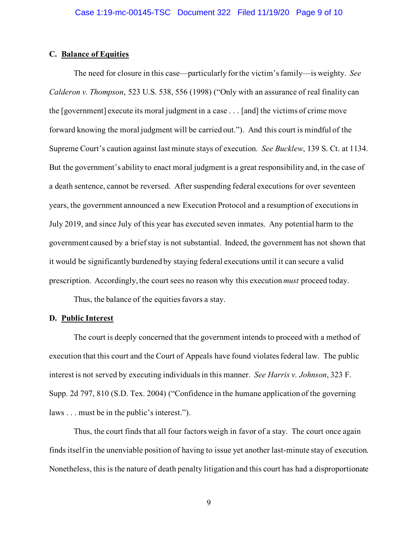### **C. Balance of Equities**

The need for closure in this case—particularly for the victim's family—is weighty. *See Calderon v. Thompson*, 523 U.S. 538, 556 (1998) ("Only with an assurance of real finality can the [government] execute its moral judgment in a case . . . [and] the victims of crime move forward knowing the moral judgment will be carried out."). And this court is mindful of the Supreme Court's caution against last minute stays of execution. *See Bucklew*, 139 S. Ct. at 1134. But the government's ability to enact moral judgment is a great responsibility and, in the case of a death sentence, cannot be reversed. After suspending federal executions for over seventeen years, the government announced a new Execution Protocol and a resumption of executions in July 2019, and since July of this year has executed seven inmates. Any potential harm to the government caused by a brief stay is not substantial. Indeed, the government has not shown that it would be significantly burdened by staying federal executions until it can secure a valid prescription. Accordingly, the court sees no reason why this execution *must* proceed today.

Thus, the balance of the equities favors a stay.

#### **D. Public Interest**

The court is deeply concerned that the government intends to proceed with a method of execution that this court and the Court of Appeals have found violates federal law. The public interest is not served by executing individualsin this manner. *See Harris v. Johnson*, 323 F. Supp. 2d 797, 810 (S.D. Tex. 2004) ("Confidence in the humane application of the governing laws . . . must be in the public's interest.").

Thus, the court finds that all four factors weigh in favor of a stay. The court once again finds itself in the unenviable position of having to issue yet another last-minute stay of execution. Nonetheless, this is the nature of death penalty litigation and this court has had a disproportionate